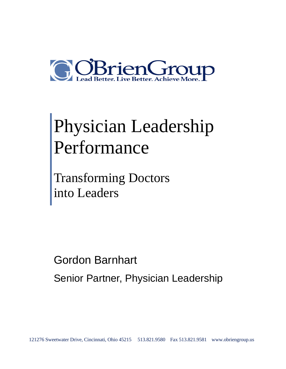

# Physician Leadership Performance

Transforming Doctors into Leaders

Gordon Barnhart Senior Partner, Physician Leadership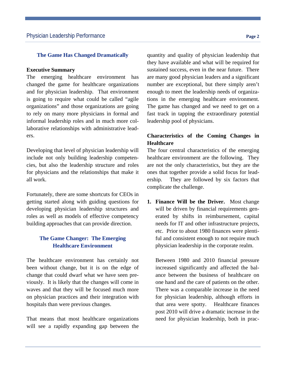## **The Game Has Changed Dramatically**

#### **Executive Summary**

The emerging healthcare environment has changed the game for healthcare organizations and for physician leadership. That environment is going to require what could be called "agile organizations" and those organizations are going to rely on many more physicians in formal and informal leadership roles and in much more collaborative relationships with administrative leaders.

Developing that level of physician leadership will include not only building leadership competencies, but also the leadership structure and roles for physicians and the relationships that make it all work.

Fortunately, there are some shortcuts for CEOs in getting started along with guiding questions for developing physician leadership structures and roles as well as models of effective competency building approaches that can provide direction.

# **The Game Changer: The Emerging Healthcare Environment**

The healthcare environment has certainly not been without change, but it is on the edge of change that could dwarf what we have seen previously. It is likely that the changes will come in waves and that they will be focused much more on physician practices and their integration with hospitals than were previous changes.

That means that most healthcare organizations will see a rapidly expanding gap between the quantity and quality of physician leadership that they have available and what will be required for sustained success, even in the near future. There are many good physician leaders and a significant number are exceptional, but there simply aren't enough to meet the leadership needs of organizations in the emerging healthcare environment. The game has changed and we need to get on a fast track in tapping the extraordinary potential leadership pool of physicians.

# **Characteristics of the Coming Changes in Healthcare**

The four central characteristics of the emerging healthcare environment are the following. They are not the only characteristics, but they are the ones that together provide a solid focus for leadership. They are followed by six factors that complicate the challenge.

**1. Finance Will be the Driver.** Most change will be driven by financial requirements generated by shifts in reimbursement, capital needs for IT and other infrastructure projects, etc. Prior to about 1980 finances were plentiful and consistent enough to not require much physician leadership in the corporate realm.

Between 1980 and 2010 financial pressure increased significantly and affected the balance between the business of healthcare on one hand and the care of patients on the other. There was a comparable increase in the need for physician leadership, although efforts in that area were spotty. Healthcare finances post 2010 will drive a dramatic increase in the need for physician leadership, both in prac-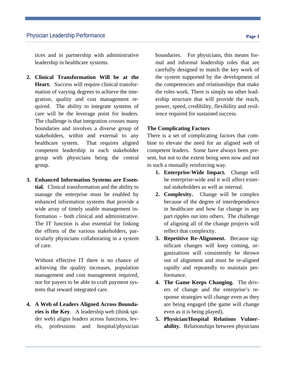tices and in partnership with administrative leadership in healthcare systems.

- **2. Clinical Transformation Will be at the Heart.** Success will require clinical transformation of varying degrees to achieve the integration, quality and cost management required. The ability to integrate systems of care will be the leverage point for leaders. The challenge is that integration crosses many boundaries and involves a diverse group of stakeholders, within and external to any healthcare system. That requires aligned competent leadership in each stakeholder group with physicians being the central group.
- **3. Enhanced Information Systems are Essential.** Clinical transformation and the ability to manage the enterprise must be enabled by enhanced information systems that provide a wide array of timely usable management information – both clinical and administrative. The IT function is also essential for linking the efforts of the various stakeholders, particularly physicians collaborating in a system of care.

Without effective IT there is no chance of achieving the quality increases, population management and cost management required, nor for payers to be able to craft payment systems that reward integrated care.

**4. A Web of Leaders Aligned Across Boundaries is the Key**. A leadership web (think spider web) aligns leaders across functions, levels, professions and hospital/physician boundaries. For physicians, this means formal and informal leadership roles that are carefully designed to match the key work of the system supported by the development of the competencies and relationships that make the roles work. There is simply no other leadership structure that will provide the reach, power, speed, credibility, flexibility and resilience required for sustained success.

#### **The Complicating Factors**

There is a set of complicating factors that combine to elevate the need for an aligned web of competent leaders. Some have always been present, but not to the extent being seen now and not in such a mutually reinforcing way.

- **1. Enterprise-Wide Impact.** Change will be enterprise-wide and it will affect external stakeholders as well as internal.
- **2. Complexity.** Change will be complex because of the degree of interdependence in healthcare and how far change in any part ripples out into others. The challenge of aligning all of the change projects will reflect that complexity.
- **3. Repetitive Re-Alignment.** Because significant changes will keep coming, organizations will consistently be thrown out of alignment and must be re-aligned rapidly and repeatedly to maintain performance.
- **4. The Game Keeps Changing.** The drivers of change and the enterprise's response strategies will change even as they are being engaged (the game will change even as it is being played).
- **5. Physician/Hospital Relations Vulnerability.** Relationships between physicians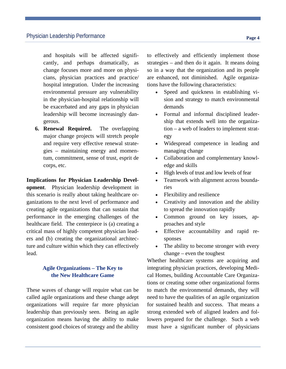and hospitals will be affected significantly, and perhaps dramatically, as change focuses more and more on physicians, physician practices and practice/ hospital integration. Under the increasing environmental pressure any vulnerability in the physician-hospital relationship will be exacerbated and any gaps in physician leadership will become increasingly dangerous.

**6. Renewal Required.** The overlapping major change projects will stretch people and require very effective renewal strategies – maintaining energy and momentum, commitment, sense of trust, esprit de corps, etc.

**Implications for Physician Leadership Development**. Physician leadership development in this scenario is really about taking healthcare organizations to the next level of performance and creating agile organizations that can sustain that performance in the emerging challenges of the healthcare field. The centerpiece is (a) creating a critical mass of highly competent physician leaders and (b) creating the organizational architecture and culture within which they can effectively lead.

# **Agile Organizations – The Key to the New Healthcare Game**

These waves of change will require what can be called agile organizations and these change adept organizations will require far more physician leadership than previously seen. Being an agile organization means having the ability to make consistent good choices of strategy and the ability to effectively and efficiently implement those strategies – and then do it again. It means doing so in a way that the organization and its people are enhanced, not diminished. Agile organizations have the following characteristics:

- Speed and quickness in establishing vision and strategy to match environmental demands
- Formal and informal disciplined leadership that extends well into the organization – a web of leaders to implement strategy
- Widespread competence in leading and managing change
- Collaboration and complementary knowledge and skills
- High levels of trust and low levels of fear
- Teamwork with alignment across boundaries
- Flexibility and resilience
- Creativity and innovation and the ability to spread the innovation rapidly
- Common ground on key issues, approaches and style
- Effective accountability and rapid responses
- The ability to become stronger with every change – even the toughest

Whether healthcare systems are acquiring and integrating physician practices, developing Medical Homes, building Accountable Care Organizations or creating some other organizational forms to match the environmental demands, they will need to have the qualities of an agile organization for sustained health and success. That means a strong extended web of aligned leaders and followers prepared for the challenge. Such a web must have a significant number of physicians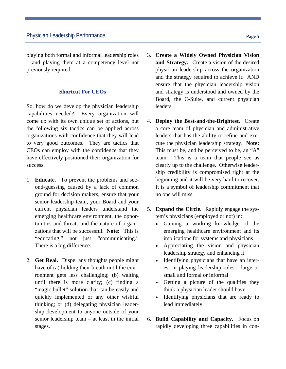playing both formal and informal leadership roles – and playing them at a competency level not previously required.

### **Shortcut For CEOs**

So, how do we develop the physician leadership capabilities needed? Every organization will come up with its own unique set of actions, but the following six tactics can be applied across organizations with confidence that they will lead to very good outcomes. They are tactics that CEOs can employ with the confidence that they have effectively positioned their organization for success.

- 1. **Educate.** To prevent the problems and second-guessing caused by a lack of common ground for decision makers, ensure that your senior leadership team, your Board and your current physician leaders understand the emerging healthcare environment, the opportunities and threats and the nature of organizations that will be successful. **Note:** This is "educating," not just "communicating." There is a big difference.
- 2. **Get Real.** Dispel any thoughts people might have of (a) holding their breath until the environment gets less challenging; (b) waiting until there is more clarity; (c) finding a "magic bullet" solution that can be easily and quickly implemented or any other wishful thinking; or (d) delegating physician leadership development to anyone outside of your senior leadership team – at least in the initial stages.
- 3. **Create a Widely Owned Physician Vision and Strategy.** Create a vision of the desired physician leadership across the organization and the strategy required to achieve it. AND ensure that the physician leadership vision and strategy is understood and owned by the Board, the C-Suite, and current physician leaders.
- 4. **Deploy the Best-and-the-Brightest.** Create a core team of physician and administrative leaders that has the ability to refine and execute the physician leadership strategy. **Note:**  This must be, and be perceived to be, an "A" team. This is a team that people see as clearly up to the challenge. Otherwise leadership credibility is compromised right at the beginning and it will be very hard to recover. It is a symbol of leadership commitment that no one will miss.
- 5. **Expand the Circle.** Rapidly engage the system's physicians (employed or not) in:
	- Gaining a working knowledge of the emerging healthcare environment and its implications for systems and physicians
	- Appreciating the vision and physician leadership strategy and enhancing it
	- Identifying physicians that have an interest in playing leadership roles - large or small and formal or informal
	- Getting a picture of the qualities they think a physician leader should have
	- Identifying physicians that are ready to lead immediately
- 6. **Build Capability and Capacity.** Focus on rapidly developing three capabilities in con-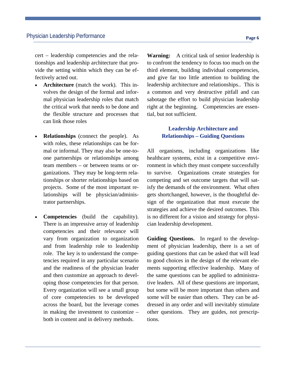cert – leadership competencies and the relationships and leadership architecture that provide the setting within which they can be effectively acted out.

- **Architecture** (match the work). This involves the design of the formal and informal physician leadership roles that match the critical work that needs to be done and the flexible structure and processes that can link those roles
- **Relationships** (connect the people). As with roles, these relationships can be formal or informal. They may also be one-toone partnerships or relationships among team members – or between teams or organizations. They may be long-term relationships or shorter relationships based on projects. Some of the most important relationships will be physician/administrator partnerships.
- **Competencies** (build the capability). There is an impressive array of leadership competencies and their relevance will vary from organization to organization and from leadership role to leadership role. The key is to understand the competencies required in any particular scenario and the readiness of the physician leader and then customize an approach to developing those competencies for that person. Every organization will see a small group of core competencies to be developed across the board, but the leverage comes in making the investment to customize – both in content and in delivery methods.

**Warning:** A critical task of senior leadership is to confront the tendency to focus too much on the third element, building individual competencies, and give far too little attention to building the leadership architecture and relationships.. This is a common and very destructive pitfall and can sabotage the effort to build physician leadership right at the beginning. Competencies are essential, but not sufficient.

## **Leadership Architecture and Relationships – Guiding Questions**

All organisms, including organizations like healthcare systems, exist in a competitive environment in which they must compete successfully to survive. Organizations create strategies for competing and set outcome targets that will satisfy the demands of the environment. What often gets shortchanged, however, is the thoughtful design of the organization that must execute the strategies and achieve the desired outcomes. This is no different for a vision and strategy for physician leadership development.

**Guiding Questions.** In regard to the development of physician leadership, there is a set of guiding questions that can be asked that will lead to good choices in the design of the relevant elements supporting effective leadership. Many of the same questions can be applied to administrative leaders. All of these questions are important, but some will be more important than others and some will be easier than others. They can be addressed in any order and will inevitably stimulate other questions. They are guides, not prescriptions.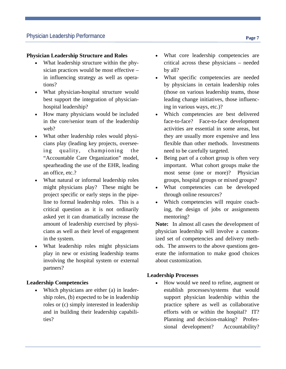# **Physician Leadership Structure and Roles**

- What leadership structure within the physician practices would be most effective – in influencing strategy as well as operations?
- What physician-hospital structure would best support the integration of physicianhospital leadership?
- How many physicians would be included in the core/senior team of the leadership web?
- What other leadership roles would physicians play (leading key projects, overseeing quality, championing the "Accountable Care Organization" model, spearheading the use of the EHR, leading an office, etc.?
- What natural or informal leadership roles might physicians play? These might be project specific or early steps in the pipeline to formal leadership roles. This is a critical question as it is not ordinarily asked yet it can dramatically increase the amount of leadership exercised by physicians as well as their level of engagement in the system.
- What leadership roles might physicians play in new or existing leadership teams involving the hospital system or external partners?

## **Leadership Competencies**

• Which physicians are either (a) in leadership roles, (b) expected to be in leadership roles or (c) simply interested in leadership and in building their leadership capabilities?

- What core leadership competencies are critical across these physicians – needed by all?
- What specific competencies are needed by physicians in certain leadership roles (those on various leadership teams, those leading change initiatives, those influencing in various ways, etc.)?
- Which competencies are best delivered face-to-face? Face-to-face development activities are essential in some areas, but they are usually more expensive and less flexible than other methods. Investments need to be carefully targeted.
- Being part of a cohort group is often very important. What cohort groups make the most sense (one or more)? Physician groups, hospital groups or mixed groups?
- What competencies can be developed through online resources?
- Which competencies will require coaching, the design of jobs or assignments mentoring?

**Note:** In almost all cases the development of physician leadership will involve a customized set of competencies and delivery methods. The answers to the above questions generate the information to make good choices about customization.

## **Leadership Processes**

• How would we need to refine, augment or establish processes/systems that would support physician leadership within the practice sphere as well as collaborative efforts with or within the hospital? IT? Planning and decision-making? Professional development? Accountability?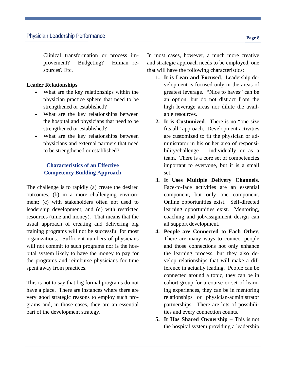Clinical transformation or process improvement? Budgeting? Human resources? Etc.

#### **Leader Relationships**

- What are the key relationships within the physician practice sphere that need to be strengthened or established?
- What are the key relationships between the hospital and physicians that need to be strengthened or established?
- What are the key relationships between physicians and external partners that need to be strengthened or established?

# **Characteristics of an Effective Competency Building Approach**

The challenge is to rapidly (a) create the desired outcomes; (b) in a more challenging environment; (c) with stakeholders often not used to leadership development; and (d) with restricted resources (time and money). That means that the usual approach of creating and delivering big training programs will not be successful for most organizations. Sufficient numbers of physicians will not commit to such programs nor is the hospital system likely to have the money to pay for the programs and reimburse physicians for time spent away from practices.

This is not to say that big formal programs do not have a place. There are instances where there are very good strategic reasons to employ such programs and, in those cases, they are an essential part of the development strategy.

In most cases, however, a much more creative and strategic approach needs to be employed, one that will have the following characteristics:

- **1. It is Lean and Focused**. Leadership development is focused only in the areas of greatest leverage. "Nice to haves" can be an option, but do not distract from the high leverage areas nor dilute the available resources.
- **2. It is Customized**. There is no "one size fits all" approach. Development activities are customized to fit the physician or administrator in his or her area of responsibility/challenge – individually or as a team. There is a core set of competencies important to everyone, but it is a small set.
- **3. It Uses Multiple Delivery Channels**. Face-to-face activities are an essential component, but only one component. Online opportunities exist. Self-directed learning opportunities exist. Mentoring, coaching and job/assignment design can all support development.
- **4. People are Connected to Each Other**. There are many ways to connect people and those connections not only enhance the learning process, but they also develop relationships that will make a difference in actually leading. People can be connected around a topic, they can be in cohort group for a course or set of learning experiences, they can be in mentoring relationships or physician-administrator partnerships. There are lots of possibilities and every connection counts.
- **5. It Has Shared Ownership This is not** the hospital system providing a leadership